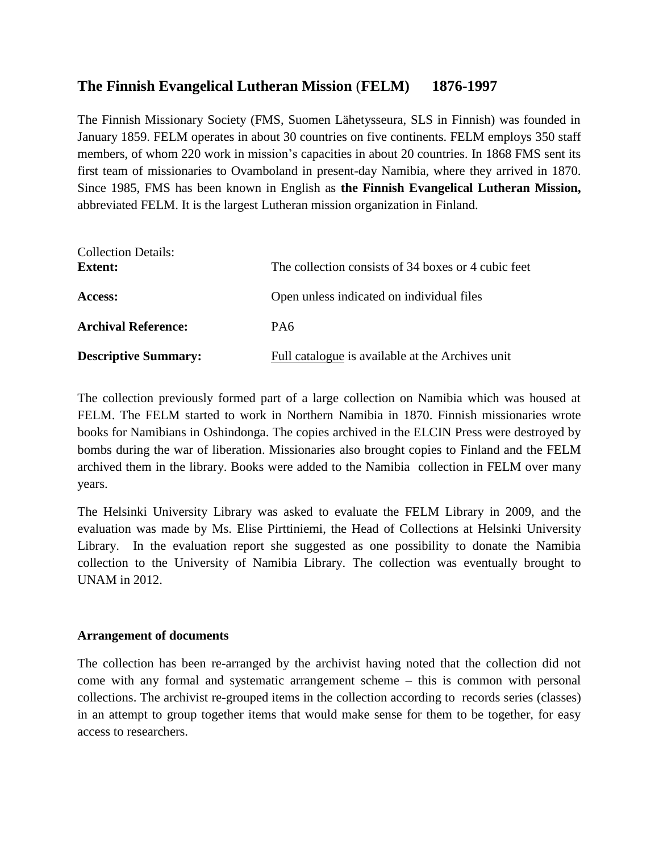# **The Finnish Evangelical Lutheran Mission** (**FELM) 1876-1997**

The Finnish Missionary Society (FMS, Suomen Lähetysseura, SLS in Finnish) was founded in January 1859. FELM operates in about 30 countries on five continents. FELM employs 350 staff members, of whom 220 work in mission's capacities in about 20 countries. In 1868 FMS sent its first team of missionaries to Ovamboland in present-day Namibia, where they arrived in 1870. Since 1985, FMS has been known in English as **the Finnish Evangelical Lutheran Mission,** abbreviated FELM. It is the largest Lutheran mission organization in Finland.

| <b>Collection Details:</b><br><b>Extent:</b> | The collection consists of 34 boxes or 4 cubic feet |  |  |
|----------------------------------------------|-----------------------------------------------------|--|--|
| Access:                                      | Open unless indicated on individual files           |  |  |
| <b>Archival Reference:</b>                   | PA6                                                 |  |  |
| <b>Descriptive Summary:</b>                  | Full catalogue is available at the Archives unit    |  |  |

The collection previously formed part of a large collection on Namibia which was housed at FELM. The FELM started to work in Northern Namibia in 1870. Finnish missionaries wrote books for Namibians in Oshindonga. The copies archived in the ELCIN Press were destroyed by bombs during the war of liberation. Missionaries also brought copies to Finland and the FELM archived them in the library. Books were added to the Namibia collection in FELM over many years.

The Helsinki University Library was asked to evaluate the FELM Library in 2009, and the evaluation was made by Ms. Elise Pirttiniemi, the Head of Collections at Helsinki University Library. In the evaluation report she suggested as one possibility to donate the Namibia collection to the University of Namibia Library. The collection was eventually brought to UNAM in 2012.

## **Arrangement of documents**

The collection has been re-arranged by the archivist having noted that the collection did not come with any formal and systematic arrangement scheme – this is common with personal collections. The archivist re-grouped items in the collection according to records series (classes) in an attempt to group together items that would make sense for them to be together, for easy access to researchers.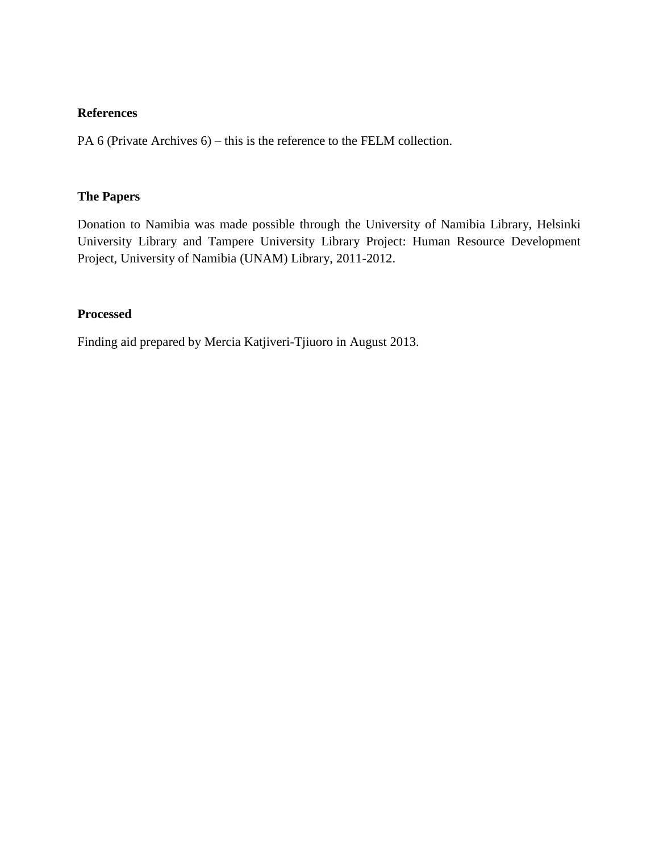## **References**

PA 6 (Private Archives 6) – this is the reference to the FELM collection.

## **The Papers**

Donation to Namibia was made possible through the University of Namibia Library, Helsinki University Library and Tampere University Library Project: Human Resource Development Project, University of Namibia (UNAM) Library, 2011-2012.

## **Processed**

Finding aid prepared by Mercia Katjiveri-Tjiuoro in August 2013.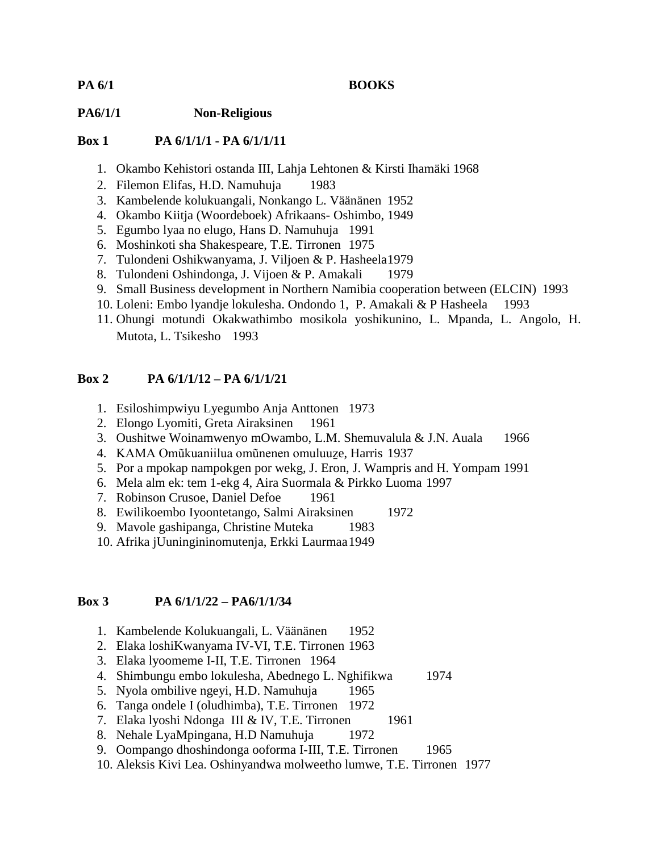#### PA 6/1 BOOKS

## **PA6/1/1 Non-Religious**

## **Box 1 PA 6/1/1/1 - PA 6/1/1/11**

- 1. Okambo Kehistori ostanda III, Lahja Lehtonen & Kirsti Ihamäki 1968
- 2. Filemon Elifas, H.D. Namuhuja 1983
- 3. Kambelende kolukuangali, Nonkango L. Väänänen 1952
- 4. Okambo Kiitja (Woordeboek) Afrikaans- Oshimbo, 1949
- 5. Egumbo lyaa no elugo, Hans D. Namuhuja 1991
- 6. Moshinkoti sha Shakespeare, T.E. Tirronen 1975
- 7. Tulondeni Oshikwanyama, J. Viljoen & P. Hasheela1979
- 8. Tulondeni Oshindonga, J. Vijoen & P. Amakali 1979
- 9. Small Business development in Northern Namibia cooperation between (ELCIN) 1993
- 10. Loleni: Embo lyandje lokulesha. Ondondo 1, P. Amakali & P Hasheela 1993
- 11. Ohungi motundi Okakwathimbo mosikola yoshikunino, L. Mpanda, L. Angolo, H. Mutota, L. Tsikesho 1993

## **Box 2 PA 6/1/1/12 – PA 6/1/1/21**

- 1. Esiloshimpwiyu Lyegumbo Anja Anttonen 1973
- 2. Elongo Lyomiti, Greta Airaksinen 1961
- 3. Oushitwe Woinamwenyo mOwambo, L.M. Shemuvalula & J.N. Auala 1966
- 4. KAMA Omũkuaniilua omũnenen omuluuze, Harris 1937
- 5. Por a mpokap nampokgen por wekg, J. Eron, J. Wampris and H. Yompam 1991
- 6. Mela alm ek: tem 1-ekg 4, Aira Suormala & Pirkko Luoma 1997
- 7. Robinson Crusoe, Daniel Defoe 1961
- 8. Ewilikoembo Iyoontetango, Salmi Airaksinen 1972
- 9. Mavole gashipanga, Christine Muteka 1983
- 10. Afrika jUuningininomutenja, Erkki Laurmaa1949

## **Box 3 PA 6/1/1/22 – PA6/1/1/34**

- 1. Kambelende Kolukuangali, L. Väänänen 1952
- 2. Elaka loshiKwanyama IV-VI, T.E. Tirronen 1963
- 3. Elaka lyoomeme I-II, T.E. Tirronen 1964
- 4. Shimbungu embo lokulesha, Abednego L. Nghifikwa 1974
- 5. Nyola ombilive ngeyi, H.D. Namuhuja 1965
- 6. Tanga ondele I (oludhimba), T.E. Tirronen 1972
- 7. Elaka lyoshi Ndonga III & IV, T.E. Tirronen 1961
- 8. Nehale LyaMpingana, H.D Namuhuja 1972
- 9. Oompango dhoshindonga ooforma I-III, T.E. Tirronen 1965
- 10. Aleksis Kivi Lea. Oshinyandwa molweetho lumwe, T.E. Tirronen 1977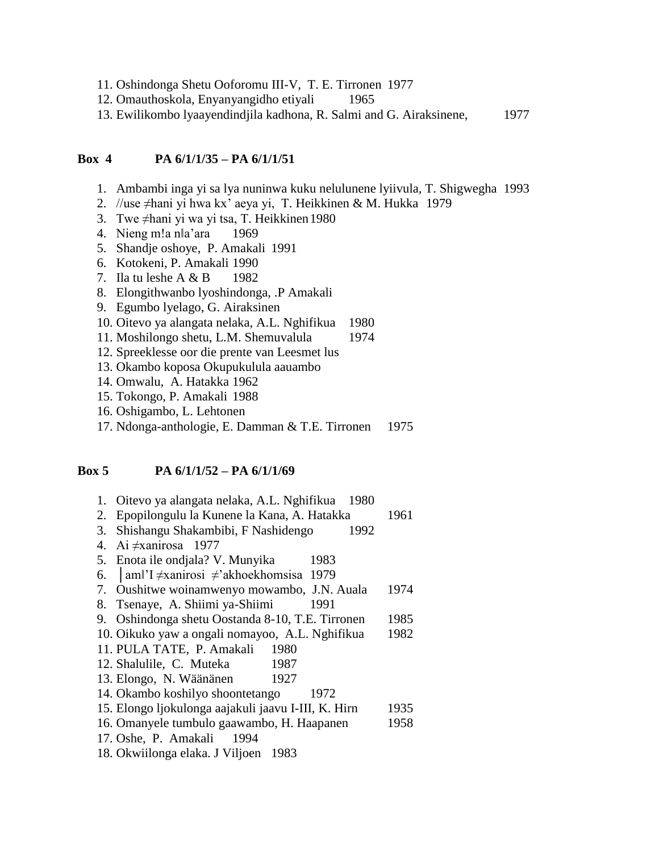- 11. Oshindonga Shetu Ooforomu III-V, T. E. Tirronen 1977
- 12. Omauthoskola, Enyanyangidho etiyali 1965
- 13. Ewilikombo lyaayendindjila kadhona, R. Salmi and G. Airaksinene, 1977

## **Box 4 PA 6/1/1/35 – PA 6/1/1/51**

- 1. Ambambi inga yi sa lya nuninwa kuku nelulunene lyiivula, T. Shigwegha 1993
- 2. //use ≠hani yi hwa kx' aeya yi, T. Heikkinen & M. Hukka 1979
- 3. Twe ≠hani yi wa yi tsa, T. Heikkinen1980
- 4. Nieng m!a nǁa'ara 1969
- 5. Shandje oshoye, P. Amakali 1991
- 6. Kotokeni, P. Amakali 1990
- 7. Ila tu leshe A & B 1982
- 8. Elongithwanbo lyoshindonga, .P Amakali
- 9. Egumbo lyelago, G. Airaksinen
- 10. Oitevo ya alangata nelaka, A.L. Nghifikua 1980
- 11. Moshilongo shetu, L.M. Shemuvalula 1974
- 12. Spreeklesse oor die prente van Leesmet lus
- 13. Okambo koposa Okupukulula aauambo
- 14. Omwalu, A. Hatakka 1962
- 15. Tokongo, P. Amakali 1988
- 16. Oshigambo, L. Lehtonen
- 17. Ndonga-anthologie, E. Damman & T.E. Tirronen 1975

#### **Box 5 PA 6/1/1/52 – PA 6/1/1/69**

- 1. Oitevo ya alangata nelaka, A.L. Nghifikua 1980
- 2. Epopilongulu la Kunene la Kana, A. Hatakka 1961
- 3. Shishangu Shakambibi, F Nashidengo 1992
- 4. Ai ≠xanirosa 1977
- 5. Enota ile ondjala? V. Munyika 1983
- 6. │amǁ'I ≠xanirosi ≠'akhoekhomsisa 1979
- 7. Oushitwe woinamwenyo mowambo, J.N. Auala 1974
- 8. Tsenaye, A. Shiimi ya-Shiimi 1991
- 9. Oshindonga shetu Oostanda 8-10, T.E. Tirronen 1985
- 10. Oikuko yaw a ongali nomayoo, A.L. Nghifikua 1982
- 11. PULA TATE, P. Amakali 1980
- 12. Shalulile, C. Muteka 1987
- 13. Elongo, N. Wäänänen 1927
- 14. Okambo koshilyo shoontetango 1972
- 15. Elongo ljokulonga aajakuli jaavu I-III, K. Hirn 1935
- 16. Omanyele tumbulo gaawambo, H. Haapanen 1958
- 17. Oshe, P. Amakali 1994
- 18. Okwiilonga elaka. J Viljoen 1983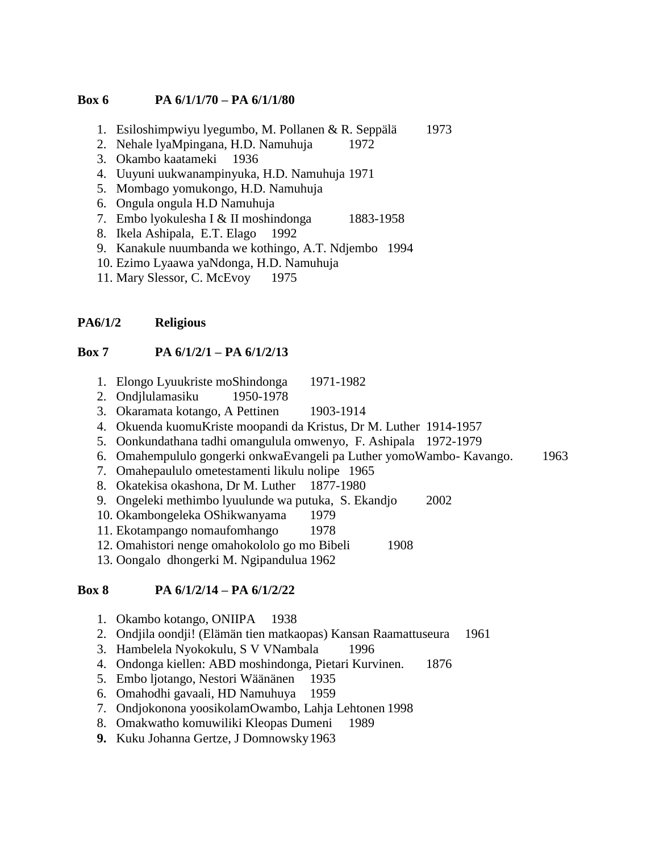## **Box 6 PA 6/1/1/70 – PA 6/1/1/80**

- 1. Esiloshimpwiyu lyegumbo, M. Pollanen & R. Seppälä 1973
- 2. Nehale lyaMpingana, H.D. Namuhuja 1972
- 3. Okambo kaatameki 1936
- 4. Uuyuni uukwanampinyuka, H.D. Namuhuja 1971
- 5. Mombago yomukongo, H.D. Namuhuja
- 6. Ongula ongula H.D Namuhuja
- 7. Embo lyokulesha I & II moshindonga 1883-1958
- 8. Ikela Ashipala, E.T. Elago 1992
- 9. Kanakule nuumbanda we kothingo, A.T. Ndjembo 1994
- 10. Ezimo Lyaawa yaNdonga, H.D. Namuhuja
- 11. Mary Slessor, C. McEvoy 1975

## **PA6/1/2 Religious**

## **Box 7 PA 6/1/2/1 – PA 6/1/2/13**

- 1. Elongo Lyuukriste moShindonga 1971-1982
- 2. Ondjlulamasiku 1950-1978
- 3. Okaramata kotango, A Pettinen 1903-1914
- 4. Okuenda kuomuKriste moopandi da Kristus, Dr M. Luther 1914-1957
- 5. Oonkundathana tadhi omangulula omwenyo, F. Ashipala 1972-1979
- 6. Omahempululo gongerki onkwaEvangeli pa Luther yomoWambo- Kavango. 1963
- 7. Omahepaululo ometestamenti likulu nolipe 1965
- 8. Okatekisa okashona, Dr M. Luther 1877-1980
- 9. Ongeleki methimbo lyuulunde wa putuka, S. Ekandjo 2002
- 10. Okambongeleka OShikwanyama 1979
- 11. Ekotampango nomaufomhango 1978
- 12. Omahistori nenge omahokololo go mo Bibeli 1908
- 13. Oongalo dhongerki M. Ngipandulua 1962

#### **Box 8 PA 6/1/2/14 – PA 6/1/2/22**

- 1. Okambo kotango, ONIIPA 1938
- 2. Ondjila oondji! (Elämän tien matkaopas) Kansan Raamattuseura 1961
- 3. Hambelela Nyokokulu, S V VNambala 1996
- 4. Ondonga kiellen: ABD moshindonga, Pietari Kurvinen. 1876
- 5. Embo ljotango, Nestori Wäänänen 1935
- 6. Omahodhi gavaali, HD Namuhuya 1959
- 7. Ondjokonona yoosikolamOwambo, Lahja Lehtonen 1998
- 8. Omakwatho komuwiliki Kleopas Dumeni 1989
- **9.** Kuku Johanna Gertze, J Domnowsky1963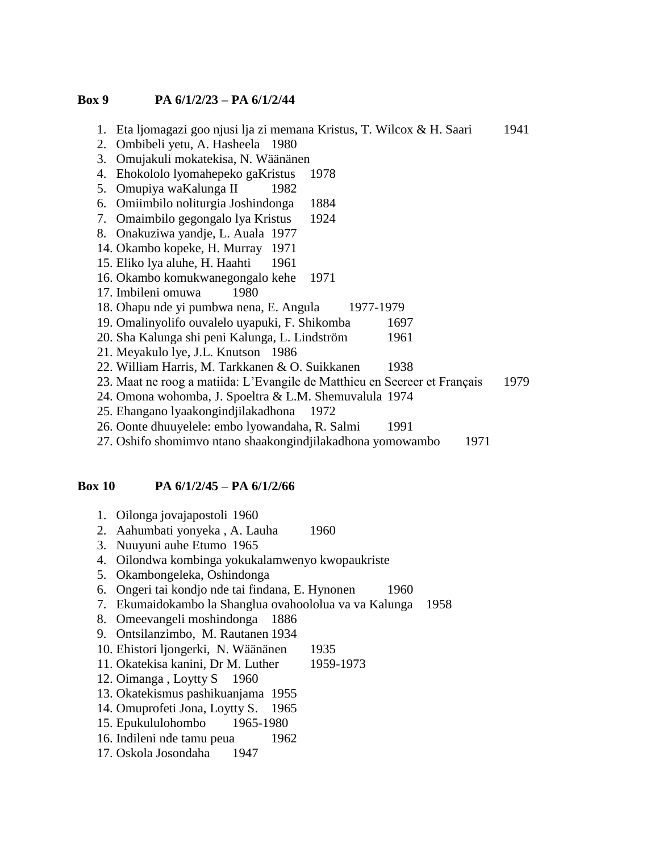#### **Box 9 PA 6/1/2/23 – PA 6/1/2/44**

- 1. Eta ljomagazi goo njusi lja zi memana Kristus, T. Wilcox & H. Saari 1941
- 2. Ombibeli yetu, A. Hasheela 1980
- 3. Omujakuli mokatekisa, N. Wäänänen
- 4. Ehokololo lyomahepeko gaKristus 1978
- 5. Omupiya waKalunga II 1982
- 6. Omiimbilo noliturgia Joshindonga 1884
- 7. Omaimbilo gegongalo lya Kristus 1924
- 8. Onakuziwa yandje, L. Auala 1977
- 14. Okambo kopeke, H. Murray 1971
- 15. Eliko lya aluhe, H. Haahti 1961
- 16. Okambo komukwanegongalo kehe 1971
- 17. Imbileni omuwa 1980
- 18. Ohapu nde yi pumbwa nena, E. Angula 1977-1979
- 19. Omalinyolifo ouvalelo uyapuki, F. Shikomba 1697
- 20. Sha Kalunga shi peni Kalunga, L. Lindström 1961
- 21. Meyakulo lye, J.L. Knutson 1986
- 22. William Harris, M. Tarkkanen & O. Suikkanen 1938
- 23. Maat ne roog a matiida: L'Evangile de Matthieu en Seereer et Français 1979
- 24. Omona wohomba, J. Spoeltra & L.M. Shemuvalula 1974
- 25. Ehangano lyaakongindjilakadhona 1972
- 26. Oonte dhuuyelele: embo lyowandaha, R. Salmi 1991
- 27. Oshifo shomimvo ntano shaakongindjilakadhona yomowambo 1971

#### **Box 10 PA 6/1/2/45 – PA 6/1/2/66**

- 1. Oilonga jovajapostoli 1960
- 2. Aahumbati yonyeka , A. Lauha 1960
- 3. Nuuyuni auhe Etumo 1965
- 4. Oilondwa kombinga yokukalamwenyo kwopaukriste
- 5. Okambongeleka, Oshindonga
- 6. Ongeri tai kondjo nde tai findana, E. Hynonen 1960
- 7. Ekumaidokambo la Shanglua ovahoololua va va Kalunga 1958
- 8. Omeevangeli moshindonga 1886
- 9. Ontsilanzimbo, M. Rautanen 1934
- 10. Ehistori ljongerki, N. Wäänänen 1935
- 11. Okatekisa kanini, Dr M. Luther 1959-1973
- 12. Oimanga , Loytty S 1960
- 13. Okatekismus pashikuanjama 1955
- 14. Omuprofeti Jona, Loytty S. 1965
- 15. Epukululohombo 1965-1980
- 16. Indileni nde tamu peua 1962
- 17. Oskola Josondaha 1947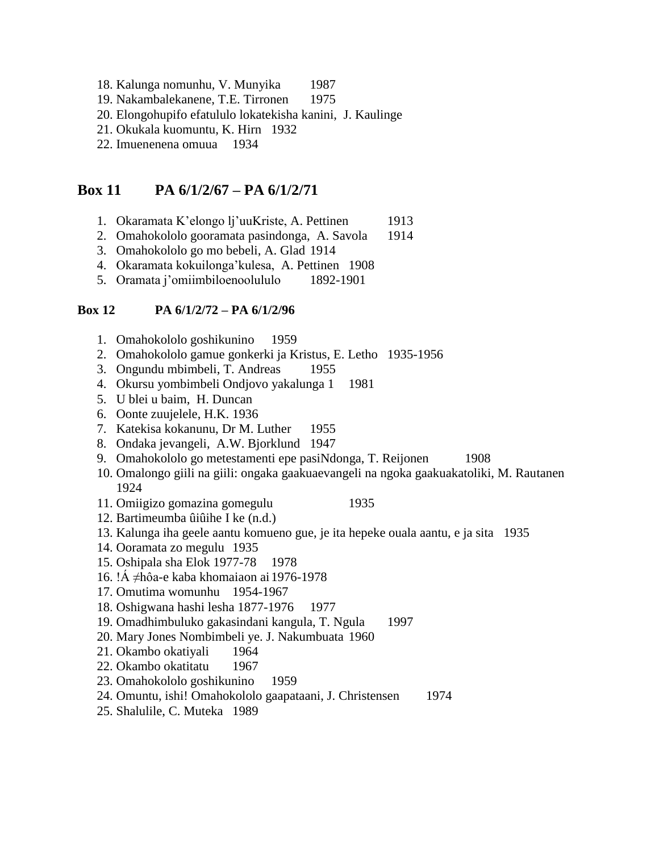- 18. Kalunga nomunhu, V. Munyika 1987
- 19. Nakambalekanene, T.E. Tirronen 1975
- 20. Elongohupifo efatululo lokatekisha kanini, J. Kaulinge
- 21. Okukala kuomuntu, K. Hirn 1932
- 22. Imuenenena omuua 1934

## **Box 11 PA 6/1/2/67 – PA 6/1/2/71**

- 1. Okaramata K'elongo lj'uuKriste, A. Pettinen 1913
- 2. Omahokololo gooramata pasindonga, A. Savola 1914
- 3. Omahokololo go mo bebeli, A. Glad 1914
- 4. Okaramata kokuilonga'kulesa, A. Pettinen 1908
- 5. Oramata j'omiimbiloenoolululo 1892-1901

#### **Box 12 PA 6/1/2/72 – PA 6/1/2/96**

- 1. Omahokololo goshikunino 1959
- 2. Omahokololo gamue gonkerki ja Kristus, E. Letho 1935-1956
- 3. Ongundu mbimbeli, T. Andreas 1955
- 4. Okursu yombimbeli Ondjovo yakalunga 1 1981
- 5. U blei u baim, H. Duncan
- 6. Oonte zuujelele, H.K. 1936
- 7. Katekisa kokanunu, Dr M. Luther 1955
- 8. Ondaka jevangeli, A.W. Bjorklund 1947
- 9. Omahokololo go metestamenti epe pasiNdonga, T. Reijonen 1908
- 10. Omalongo giili na giili: ongaka gaakuaevangeli na ngoka gaakuakatoliki, M. Rautanen 1924
- 11. Omiigizo gomazina gomegulu 1935
- 12. Bartimeumba ûiûihe I ke (n.d.)
- 13. Kalunga iha geele aantu komueno gue, je ita hepeke ouala aantu, e ja sita 1935
- 14. Ooramata zo megulu 1935
- 15. Oshipala sha Elok 1977-78 1978
- 16. !Á ≠hôa-e kaba khomaiaon ai 1976-1978
- 17. Omutima womunhu 1954-1967
- 18. Oshigwana hashi lesha 1877-1976 1977
- 19. Omadhimbuluko gakasindani kangula, T. Ngula 1997
- 20. Mary Jones Nombimbeli ye. J. Nakumbuata 1960
- 21. Okambo okatiyali 1964
- 22. Okambo okatitatu 1967
- 23. Omahokololo goshikunino 1959
- 24. Omuntu, ishi! Omahokololo gaapataani, J. Christensen 1974
- 25. Shalulile, C. Muteka 1989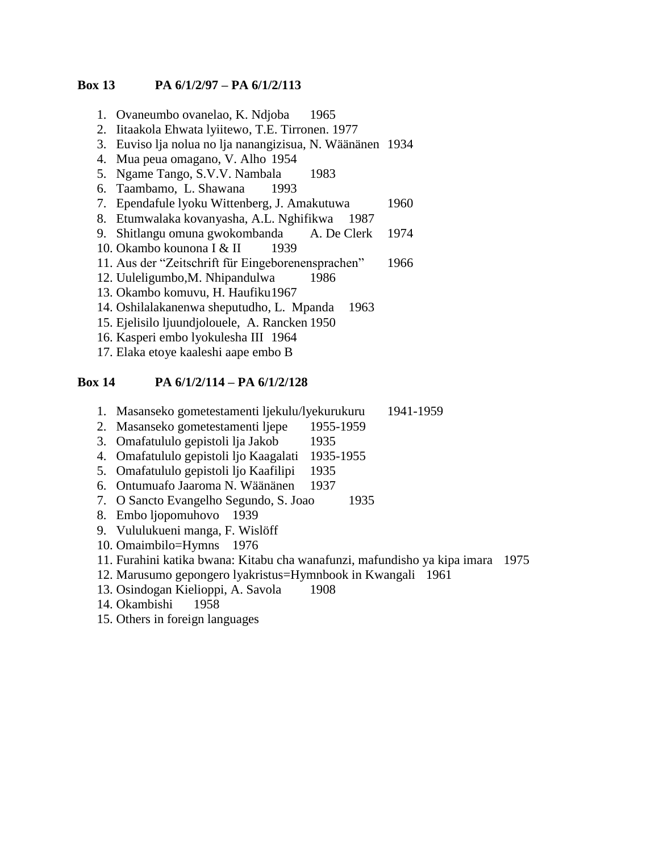#### **Box 13 PA 6/1/2/97 – PA 6/1/2/113**

- 1. Ovaneumbo ovanelao, K. Ndjoba 1965
- 2. Iitaakola Ehwata lyiitewo, T.E. Tirronen. 1977
- 3. Euviso lja nolua no lja nanangizisua, N. Wäänänen 1934
- 4. Mua peua omagano, V. Alho 1954
- 5. Ngame Tango, S.V.V. Nambala 1983
- 6. Taambamo, L. Shawana 1993
- 7. Ependafule lyoku Wittenberg, J. Amakutuwa 1960
- 8. Etumwalaka kovanyasha, A.L. Nghifikwa 1987
- 9. Shitlangu omuna gwokombanda A. De Clerk 1974
- 10. Okambo kounona I & II 1939
- 11. Aus der "Zeitschrift für Eingeborenensprachen" 1966
- 12. Uuleligumbo,M. Nhipandulwa 1986
- 13. Okambo komuvu, H. Haufiku1967
- 14. Oshilalakanenwa sheputudho, L. Mpanda 1963
- 15. Ejelisilo ljuundjolouele, A. Rancken 1950
- 16. Kasperi embo lyokulesha III 1964
- 17. Elaka etoye kaaleshi aape embo B

#### **Box 14 PA 6/1/2/114 – PA 6/1/2/128**

- 1. Masanseko gometestamenti ljekulu/lyekurukuru 1941-1959
- 2. Masanseko gometestamenti ljepe 1955-1959
- 3. Omafatululo gepistoli lja Jakob 1935
- 4. Omafatululo gepistoli ljo Kaagalati 1935-1955
- 5. Omafatululo gepistoli ljo Kaafilipi 1935
- 6. Ontumuafo Jaaroma N. Wäänänen 1937
- 7. O Sancto Evangelho Segundo, S. Joao 1935
- 8. Embo ljopomuhovo 1939
- 9. Vululukueni manga, F. Wislöff
- 10. Omaimbilo=Hymns 1976
- 11. Furahini katika bwana: Kitabu cha wanafunzi, mafundisho ya kipa imara 1975
- 12. Marusumo gepongero lyakristus=Hymnbook in Kwangali 1961
- 13. Osindogan Kielioppi, A. Savola 1908
- 14. Okambishi 1958
- 15. Others in foreign languages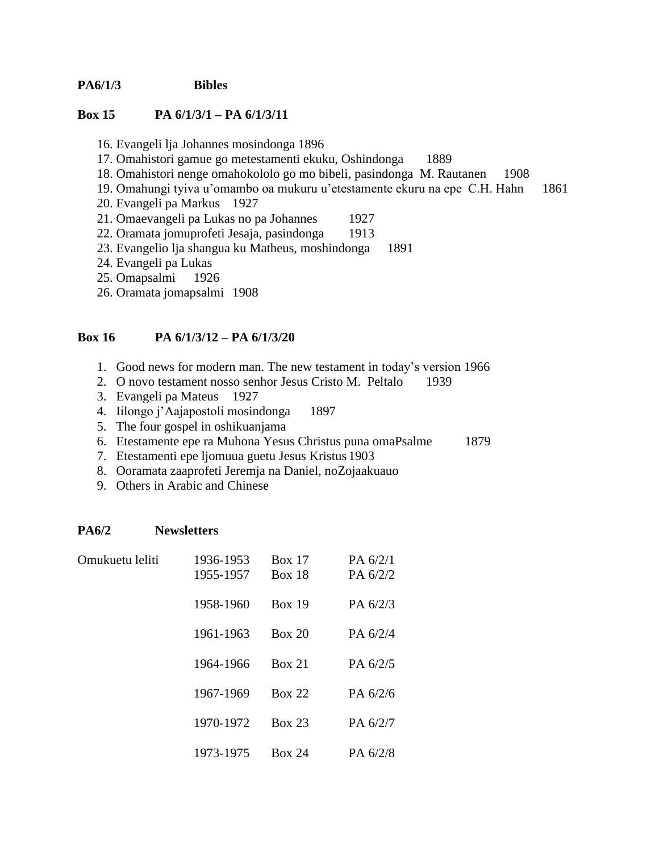## **PA6/1/3 Bibles**

## **Box 15 PA 6/1/3/1 – PA 6/1/3/11**

- 16. Evangeli lja Johannes mosindonga 1896
- 17. Omahistori gamue go metestamenti ekuku, Oshindonga 1889
- 18. Omahistori nenge omahokololo go mo bibeli, pasindonga M. Rautanen 1908
- 19. Omahungi tyiva u'omambo oa mukuru u'etestamente ekuru na epe C.H. Hahn 1861
- 20. Evangeli pa Markus 1927
- 21. Omaevangeli pa Lukas no pa Johannes 1927
- 22. Oramata jomuprofeti Jesaja, pasindonga 1913
- 23. Evangelio lja shangua ku Matheus, moshindonga 1891
- 24. Evangeli pa Lukas
- 25. Omapsalmi 1926
- 26. Oramata jomapsalmi 1908

#### **Box 16 PA 6/1/3/12 – PA 6/1/3/20**

- 1. Good news for modern man. The new testament in today's version 1966
- 2. O novo testament nosso senhor Jesus Cristo M. Peltalo 1939
- 3. Evangeli pa Mateus 1927
- 4. Iilongo j'Aajapostoli mosindonga 1897
- 5. The four gospel in oshikuanjama
- 6. Etestamente epe ra Muhona Yesus Christus puna omaPsalme 1879
- 7. Etestamenti epe ljomuua guetu Jesus Kristus 1903
- 8. Ooramata zaaprofeti Jeremja na Daniel, noZojaakuauo
- 9. Others in Arabic and Chinese

#### **PA6/2 Newsletters**

| Omukuetu leliti | 1936-1953<br>1955-1957 | <b>Box 17</b><br>$Box$ 18 | PA 6/2/1<br>PA 6/2/2 |
|-----------------|------------------------|---------------------------|----------------------|
|                 | 1958-1960              | <b>Box 19</b>             | PA 6/2/3             |
|                 | 1961-1963              | Box 20                    | $PA$ 6/2/4           |
|                 | 1964-1966              | Box 21                    | PA 6/2/5             |
|                 | 1967-1969              | Box 22                    | $PA$ 6/2/6           |
|                 | 1970-1972              | <b>Box 23</b>             | PA 6/2/7             |
|                 | 1973-1975              | <b>Box 24</b>             | PA 6/2/8             |